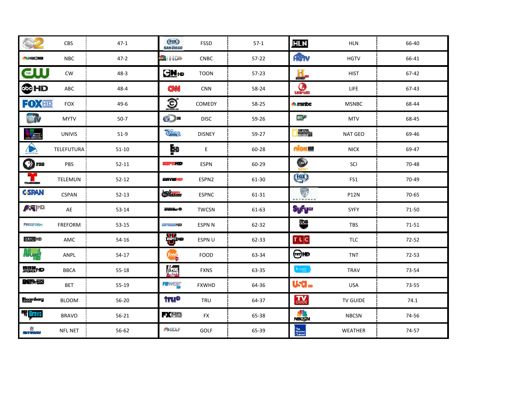|                                     | CBS            | $47-1$    | $F$ <sup><math>(X)</math></sup><br><b>SAN DIEGO</b> | FSSD          | $57-1$  | <b>HLN</b>                | <b>HLN</b>     | 66-40 |
|-------------------------------------|----------------|-----------|-----------------------------------------------------|---------------|---------|---------------------------|----------------|-------|
| <b><i><u><b>ALNBC</b></u>HD</i></b> | <b>NBC</b>     | $47 - 2$  | <b>MAC HILL OF</b>                                  | <b>CNBC</b>   | 57-22   | <b>HOTV</b>               | <b>HGTV</b>    | 66-41 |
| $\overline{\mathbf{G}}$             | CW             | $48 - 3$  | GN <sub>#D</sub>                                    | <b>TOON</b>   | $57-23$ | H.                        | <b>HIST</b>    | 67-42 |
| <b>COHD</b>                         | ABC            | $48 - 4$  | <b>CNN</b>                                          | <b>CNN</b>    | 58-24   | <b>Contract</b>           | LIFE           | 67-43 |
| FOXED                               | <b>FOX</b>     | $49-6$    | <u>ව</u>                                            | COMEDY        | 58-25   | <b>A</b> manipc           | <b>MSNBC</b>   | 68-44 |
| my <sub>st</sub>                    | <b>MYTV</b>    | $50-7$    | O                                                   | <b>DISC</b>   | 59-26   | <b>Br</b>                 | <b>MTV</b>     | 68-45 |
| $\sqrt{10}$                         | <b>UNIVIS</b>  | $51-9$    | <b>DE TA</b>                                        | <b>DISNEY</b> | 59-27   | <b>MOVE</b>               | <b>NAT GEO</b> | 69-46 |
|                                     | TELEFUTURA     | $51-10$   | Ēю                                                  | E             | 60-28   | <u>nick m</u>             | <b>NICK</b>    | 69-47 |
| $\bigcirc$ PBS                      | <b>PBS</b>     | $52 - 11$ | ern 10                                              | <b>ESPN</b>   | 60-29   | $\bullet$                 | SCI            | 70-48 |
|                                     | TELEMUN        | $52 - 12$ | certe Ko                                            | ESPN2         | 61-30   | (FOX)                     | FS1            | 70-49 |
| <b>C-SPAN</b>                       | CSPAN          | $52 - 13$ | Charnes                                             | <b>ESPNC</b>  | 61-31   | ♥<br><b>NETWORK</b>       | <b>P12N</b>    | 70-65 |
| <b>ASSILIA</b>                      | AE             | $53 - 14$ | transar0                                            | <b>TWCSN</b>  | 61-63   | \$yfy≌                    | SYFY           | 71-50 |
| <b>FREEFORM</b>                     | FREFORM        | $53 - 15$ | (大) ( ) ( ) ( ) ( ) ( ) ( ) ( ) ( )                 | ESPN N        | 62-32   | 뺠                         | <b>TBS</b>     | 71-51 |
| <b>SMO ND</b>                       | AMC            | $54 - 16$ | ₩.                                                  | ESPN U        | 62-33   | TLC                       | <b>TLC</b>     | 72-52 |
| ीर्षम् मुद्                         | ANPL           | $54-17$   | food                                                | <b>FOOD</b>   | 63-34   | ⊕⊦⊵                       | <b>TNT</b>     | 72-53 |
| 明明線HD                               | <b>BBCA</b>    | $55 - 18$ | <b>AFOX</b>                                         | <b>FXNS</b>   | 63-35   | $\tan \omega$             | <b>TRAV</b>    | 73-54 |
| B¶f≫HD                              | BET            | 55-19     | <b>FOWEST</b>                                       | <b>FXWHD</b>  | 64-36   | usa.                      | <b>USA</b>     | 73-55 |
| Bloomberg                           | <b>BLOOM</b>   | $56 - 20$ | <b>tru®</b>                                         | TRU           | 64-37   | GUIDE                     | TV GUIDE       | 74.1  |
| <b>B</b> Dravo                      | <b>BRAVO</b>   | $56 - 21$ | <b>FXHD</b>                                         | <b>FX</b>     | 65-38   | <b>SZ</b><br>NECSIN       | <b>NBCSN</b>   | 74-56 |
| <b>IS</b><br>Nasy televizie         | <b>NFL NET</b> | 56-62     | <b>PEGGLF</b>                                       | GOLF          | 65-39   | The<br>Weather<br>Channel | WEATHER        | 74-57 |